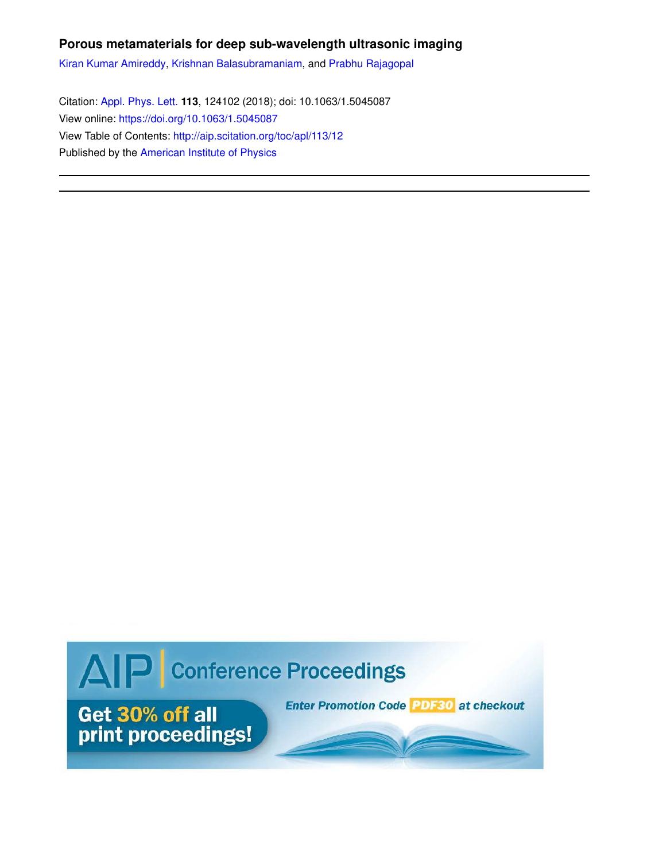## **Porous metamaterials for deep sub-wavelength ultrasonic imaging**

Kiran Kumar Amireddy, Krishnan Balasubramaniam, and Prabhu Rajagopal

Citation: Appl. Phys. Lett. **113**, 124102 (2018); doi: 10.1063/1.5045087 View online: https://doi.org/10.1063/1.5045087 View Table of Contents: http://aip.scitation.org/toc/apl/113/12 Published by the American Institute of Physics

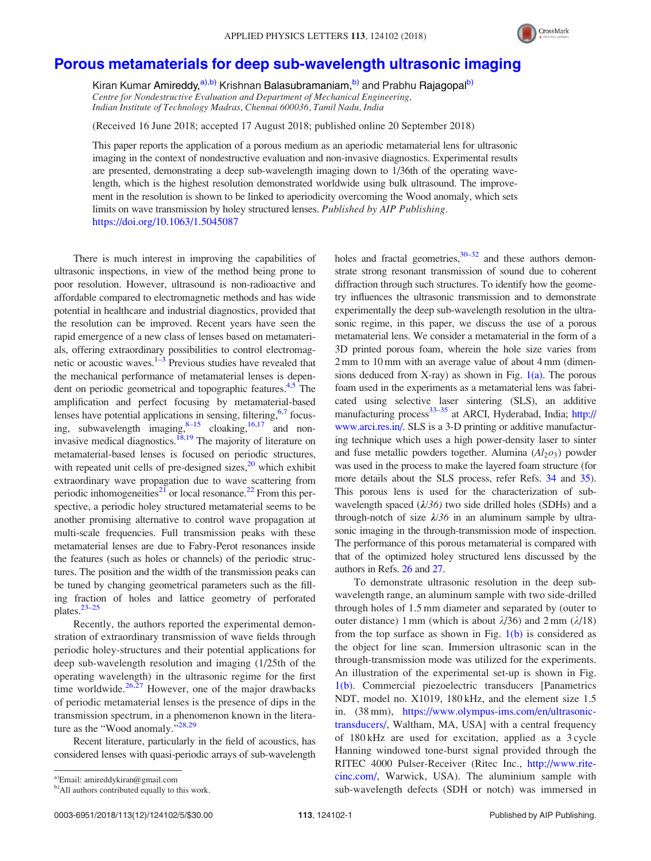

## Porous metamaterials for deep sub-wavelength ultrasonic imaging

Kiran Kumar Amireddy,<sup>a),b)</sup> Krishnan Balasubramaniam,<sup>b)</sup> and Prabhu Rajagopal<sup>b)</sup> Centre for Nondestructive Evaluation and Department of Mechanical Engineering, Indian Institute of Technology Madras, Chennai 600036, Tamil Nadu, India

(Received 16 June 2018; accepted 17 August 2018; published online 20 September 2018)

This paper reports the application of a porous medium as an aperiodic metamaterial lens for ultrasonic imaging in the context of nondestructive evaluation and non-invasive diagnostics. Experimental results are presented, demonstrating a deep sub-wavelength imaging down to 1/36th of the operating wavelength, which is the highest resolution demonstrated worldwide using bulk ultrasound. The improvement in the resolution is shown to be linked to aperiodicity overcoming the Wood anomaly, which sets limits on wave transmission by holey structured lenses. Published by AIP Publishing. https://doi.org/10.1063/1.5045087

There is much interest in improving the capabilities of ultrasonic inspections, in view of the method being prone to poor resolution. However, ultrasound is non-radioactive and affordable compared to electromagnetic methods and has wide potential in healthcare and industrial diagnostics, provided that the resolution can be improved. Recent years have seen the rapid emergence of a new class of lenses based on metamaterials, offering extraordinary possibilities to control electromagnetic or acoustic waves.<sup>1–3</sup> Previous studies have revealed that the mechanical performance of metamaterial lenses is dependent on periodic geometrical and topographic features.<sup>4,5</sup> The amplification and perfect focusing by metamaterial-based lenses have potential applications in sensing, filtering, <sup>6,7</sup> focusing, subwavelength  $\lim_{s\to 5}$  cloaking,<sup>16,17</sup> and noninvasive medical diagnostics.<sup>18,19</sup> The majority of literature on metamaterial-based lenses is focused on periodic structures, with repeated unit cells of pre-designed sizes, $20$  which exhibit extraordinary wave propagation due to wave scattering from periodic inhomogeneities<sup>21</sup> or local resonance.<sup>22</sup> From this perspective, a periodic holey structured metamaterial seems to be another promising alternative to control wave propagation at multi-scale frequencies. Full transmission peaks with these metamaterial lenses are due to Fabry-Perot resonances inside the features (such as holes or channels) of the periodic structures. The position and the width of the transmission peaks can be tuned by changing geometrical parameters such as the filling fraction of holes and lattice geometry of perforated plates.<sup>23–25</sup>

Recently, the authors reported the experimental demonstration of extraordinary transmission of wave fields through periodic holey-structures and their potential applications for deep sub-wavelength resolution and imaging (1/25th of the operating wavelength) in the ultrasonic regime for the first time worldwide. $26,27$  However, one of the major drawbacks of periodic metamaterial lenses is the presence of dips in the transmission spectrum, in a phenomenon known in the literature as the "Wood anomaly."<sup>28,29</sup>

Recent literature, particularly in the field of acoustics, has considered lenses with quasi-periodic arrays of sub-wavelength holes and fractal geometries,  $30-32$  and these authors demonstrate strong resonant transmission of sound due to coherent diffraction through such structures. To identify how the geometry influences the ultrasonic transmission and to demonstrate experimentally the deep sub-wavelength resolution in the ultrasonic regime, in this paper, we discuss the use of a porous metamaterial lens. We consider a metamaterial in the form of a 3D printed porous foam, wherein the hole size varies from 2 mm to 10 mm with an average value of about 4 mm (dimensions deduced from X-ray) as shown in Fig.  $1(a)$ . The porous foam used in the experiments as a metamaterial lens was fabricated using selective laser sintering (SLS), an additive manufacturing process<sup>33–35</sup> at ARCI, Hyderabad, India; http:// www.arci.res.in/. SLS is a 3-D printing or additive manufacturing technique which uses a high power-density laser to sinter and fuse metallic powders together. Alumina  $(Al_2o_3)$  powder was used in the process to make the layered foam structure (for more details about the SLS process, refer Refs. 34 and 35). This porous lens is used for the characterization of subwavelength spaced  $(\lambda/36)$  two side drilled holes (SDHs) and a through-notch of size  $\lambda/36$  in an aluminum sample by ultrasonic imaging in the through-transmission mode of inspection. The performance of this porous metamaterial is compared with that of the optimized holey structured lens discussed by the authors in Refs. 26 and 27.

To demonstrate ultrasonic resolution in the deep subwavelength range, an aluminum sample with two side-drilled through holes of 1.5 mm diameter and separated by (outer to outer distance) 1 mm (which is about  $\lambda/36$ ) and 2 mm ( $\lambda/18$ ) from the top surface as shown in Fig.  $1(b)$  is considered as the object for line scan. Immersion ultrasonic scan in the through-transmission mode was utilized for the experiments. An illustration of the experimental set-up is shown in Fig. 1(b). Commercial piezoelectric transducers [Panametrics NDT, model no. X1019, 180 kHz, and the element size 1.5 in. (38 mm), https://www.olympus-ims.com/en/ultrasonictransducers/, Waltham, MA, USA] with a central frequency of 180 kHz are used for excitation, applied as a 3 cycle Hanning windowed tone-burst signal provided through the RITEC 4000 Pulser-Receiver (Ritec Inc., http://www.ritecinc.com/, Warwick, USA). The aluminium sample with sub-wavelength defects (SDH or notch) was immersed in

a)Email: amireddykiran@gmail.com

b) All authors contributed equally to this work.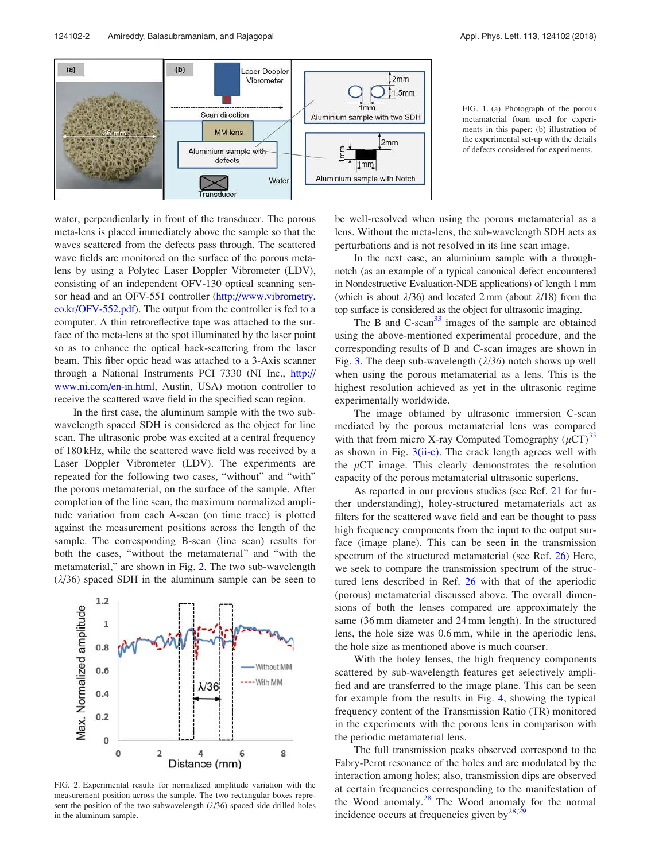

FIG. 1. (a) Photograph of the porous metamaterial foam used for experiments in this paper; (b) illustration of the experimental set-up with the details of defects considered for experiments.

water, perpendicularly in front of the transducer. The porous meta-lens is placed immediately above the sample so that the waves scattered from the defects pass through. The scattered wave fields are monitored on the surface of the porous metalens by using a Polytec Laser Doppler Vibrometer (LDV), consisting of an independent OFV-130 optical scanning sensor head and an OFV-551 controller (http://www.vibrometry. co.kr/OFV-552.pdf). The output from the controller is fed to a computer. A thin retroreflective tape was attached to the surface of the meta-lens at the spot illuminated by the laser point so as to enhance the optical back-scattering from the laser beam. This fiber optic head was attached to a 3-Axis scanner through a National Instruments PCI 7330 (NI Inc., http:// www.ni.com/en-in.html, Austin, USA) motion controller to receive the scattered wave field in the specified scan region.

In the first case, the aluminum sample with the two subwavelength spaced SDH is considered as the object for line scan. The ultrasonic probe was excited at a central frequency of 180 kHz, while the scattered wave field was received by a Laser Doppler Vibrometer (LDV). The experiments are repeated for the following two cases, "without" and "with" the porous metamaterial, on the surface of the sample. After completion of the line scan, the maximum normalized amplitude variation from each A-scan (on time trace) is plotted against the measurement positions across the length of the sample. The corresponding B-scan (line scan) results for both the cases, "without the metamaterial" and "with the metamaterial," are shown in Fig. 2. The two sub-wavelength  $(\lambda/36)$  spaced SDH in the aluminum sample can be seen to



FIG. 2. Experimental results for normalized amplitude variation with the measurement position across the sample. The two rectangular boxes represent the position of the two subwavelength  $(\lambda/36)$  spaced side drilled holes in the aluminum sample.

be well-resolved when using the porous metamaterial as a lens. Without the meta-lens, the sub-wavelength SDH acts as perturbations and is not resolved in its line scan image.

In the next case, an aluminium sample with a throughnotch (as an example of a typical canonical defect encountered in Nondestructive Evaluation-NDE applications) of length 1 mm (which is about  $\lambda/36$ ) and located 2 mm (about  $\lambda/18$ ) from the top surface is considered as the object for ultrasonic imaging.

The B and  $C$ -scan $33$  images of the sample are obtained using the above-mentioned experimental procedure, and the corresponding results of B and C-scan images are shown in Fig. 3. The deep sub-wavelength  $(\lambda/36)$  notch shows up well when using the porous metamaterial as a lens. This is the highest resolution achieved as yet in the ultrasonic regime experimentally worldwide.

The image obtained by ultrasonic immersion C-scan mediated by the porous metamaterial lens was compared with that from micro X-ray Computed Tomography  $(\mu\text{CT})^{33}$ as shown in Fig.  $3(ii-c)$ . The crack length agrees well with the  $\mu$ CT image. This clearly demonstrates the resolution capacity of the porous metamaterial ultrasonic superlens.

As reported in our previous studies (see Ref. 21 for further understanding), holey-structured metamaterials act as filters for the scattered wave field and can be thought to pass high frequency components from the input to the output surface (image plane). This can be seen in the transmission spectrum of the structured metamaterial (see Ref. 26) Here, we seek to compare the transmission spectrum of the structured lens described in Ref. 26 with that of the aperiodic (porous) metamaterial discussed above. The overall dimensions of both the lenses compared are approximately the same (36 mm diameter and 24 mm length). In the structured lens, the hole size was 0.6 mm, while in the aperiodic lens, the hole size as mentioned above is much coarser.

With the holey lenses, the high frequency components scattered by sub-wavelength features get selectively amplified and are transferred to the image plane. This can be seen for example from the results in Fig. 4, showing the typical frequency content of the Transmission Ratio (TR) monitored in the experiments with the porous lens in comparison with the periodic metamaterial lens.

The full transmission peaks observed correspond to the Fabry-Perot resonance of the holes and are modulated by the interaction among holes; also, transmission dips are observed at certain frequencies corresponding to the manifestation of the Wood anomaly. $2^8$  The Wood anomaly for the normal incidence occurs at frequencies given by $^{28,29}$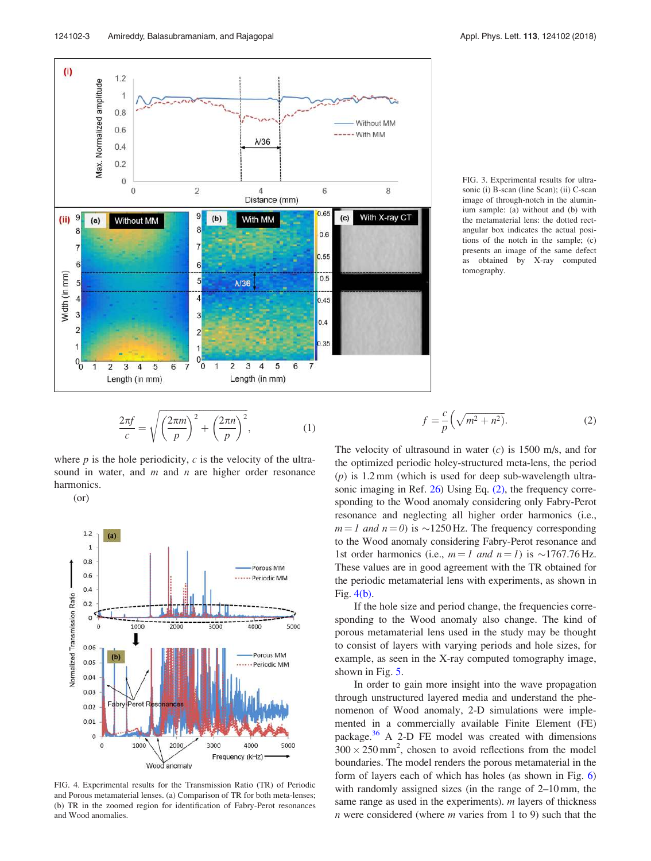

FIG. 3. Experimental results for ultrasonic (i) B-scan (line Scan); (ii) C-scan image of through-notch in the aluminium sample: (a) without and (b) with the metamaterial lens: the dotted rectangular box indicates the actual positions of the notch in the sample; (c) presents an image of the same defect as obtained by X-ray computed tomography.

$$
\frac{2\pi f}{c} = \sqrt{\left(\frac{2\pi m}{p}\right)^2 + \left(\frac{2\pi n}{p}\right)^2},\tag{1}
$$

where  $p$  is the hole periodicity,  $c$  is the velocity of the ultrasound in water, and  $m$  and  $n$  are higher order resonance harmonics.

(or)



FIG. 4. Experimental results for the Transmission Ratio (TR) of Periodic and Porous metamaterial lenses. (a) Comparison of TR for both meta-lenses; (b) TR in the zoomed region for identification of Fabry-Perot resonances and Wood anomalies.

$$
f = \frac{c}{p} \left( \sqrt{m^2 + n^2} \right).
$$
 (2)

The velocity of ultrasound in water  $(c)$  is 1500 m/s, and for the optimized periodic holey-structured meta-lens, the period  $(p)$  is 1.2 mm (which is used for deep sub-wavelength ultrasonic imaging in Ref. 26) Using Eq. (2), the frequency corresponding to the Wood anomaly considering only Fabry-Perot resonance and neglecting all higher order harmonics (i.e.,  $m = 1$  and  $n = 0$ ) is  $\sim$ 1250 Hz. The frequency corresponding to the Wood anomaly considering Fabry-Perot resonance and 1st order harmonics (i.e.,  $m = 1$  and  $n = 1$ ) is  $\sim$ 1767.76 Hz. These values are in good agreement with the TR obtained for the periodic metamaterial lens with experiments, as shown in Fig. 4(b).

If the hole size and period change, the frequencies corresponding to the Wood anomaly also change. The kind of porous metamaterial lens used in the study may be thought to consist of layers with varying periods and hole sizes, for example, as seen in the X-ray computed tomography image, shown in Fig. 5.

In order to gain more insight into the wave propagation through unstructured layered media and understand the phenomenon of Wood anomaly, 2-D simulations were implemented in a commercially available Finite Element (FE) package. $36$  A 2-D FE model was created with dimensions  $300 \times 250$  mm<sup>2</sup>, chosen to avoid reflections from the model boundaries. The model renders the porous metamaterial in the form of layers each of which has holes (as shown in Fig. 6) with randomly assigned sizes (in the range of 2–10 mm, the same range as used in the experiments).  $m$  layers of thickness  $n$  were considered (where  $m$  varies from 1 to 9) such that the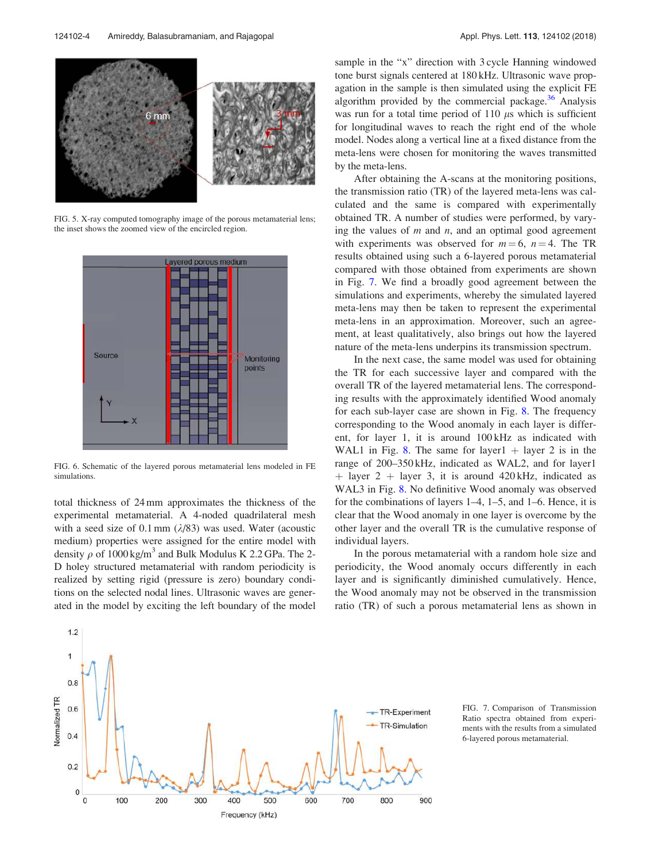

FIG. 5. X-ray computed tomography image of the porous metamaterial lens; the inset shows the zoomed view of the encircled region.



FIG. 6. Schematic of the layered porous metamaterial lens modeled in FE simulations.

total thickness of 24 mm approximates the thickness of the experimental metamaterial. A 4-noded quadrilateral mesh with a seed size of 0.1 mm  $(\lambda/83)$  was used. Water (acoustic medium) properties were assigned for the entire model with density  $\rho$  of 1000 kg/m<sup>3</sup> and Bulk Modulus K 2.2 GPa. The 2-D holey structured metamaterial with random periodicity is realized by setting rigid (pressure is zero) boundary conditions on the selected nodal lines. Ultrasonic waves are generated in the model by exciting the left boundary of the model sample in the "x" direction with 3 cycle Hanning windowed tone burst signals centered at 180 kHz. Ultrasonic wave propagation in the sample is then simulated using the explicit FE algorithm provided by the commercial package. $36$  Analysis was run for a total time period of 110  $\mu$ s which is sufficient for longitudinal waves to reach the right end of the whole model. Nodes along a vertical line at a fixed distance from the meta-lens were chosen for monitoring the waves transmitted by the meta-lens.

After obtaining the A-scans at the monitoring positions, the transmission ratio (TR) of the layered meta-lens was calculated and the same is compared with experimentally obtained TR. A number of studies were performed, by varying the values of  $m$  and  $n$ , and an optimal good agreement with experiments was observed for  $m = 6$ ,  $n = 4$ . The TR results obtained using such a 6-layered porous metamaterial compared with those obtained from experiments are shown in Fig. 7. We find a broadly good agreement between the simulations and experiments, whereby the simulated layered meta-lens may then be taken to represent the experimental meta-lens in an approximation. Moreover, such an agreement, at least qualitatively, also brings out how the layered nature of the meta-lens underpins its transmission spectrum.

In the next case, the same model was used for obtaining the TR for each successive layer and compared with the overall TR of the layered metamaterial lens. The corresponding results with the approximately identified Wood anomaly for each sub-layer case are shown in Fig. 8. The frequency corresponding to the Wood anomaly in each layer is different, for layer 1, it is around 100 kHz as indicated with WAL1 in Fig. 8. The same for layer1  $+$  layer 2 is in the range of 200–350 kHz, indicated as WAL2, and for layer1  $\frac{1}{2}$  h layer 3, it is around 420 kHz, indicated as WAL3 in Fig. 8. No definitive Wood anomaly was observed for the combinations of layers 1–4, 1–5, and 1–6. Hence, it is clear that the Wood anomaly in one layer is overcome by the other layer and the overall TR is the cumulative response of individual layers.

In the porous metamaterial with a random hole size and periodicity, the Wood anomaly occurs differently in each layer and is significantly diminished cumulatively. Hence, the Wood anomaly may not be observed in the transmission ratio (TR) of such a porous metamaterial lens as shown in



FIG. 7. Comparison of Transmission Ratio spectra obtained from experiments with the results from a simulated 6-layered porous metamaterial.